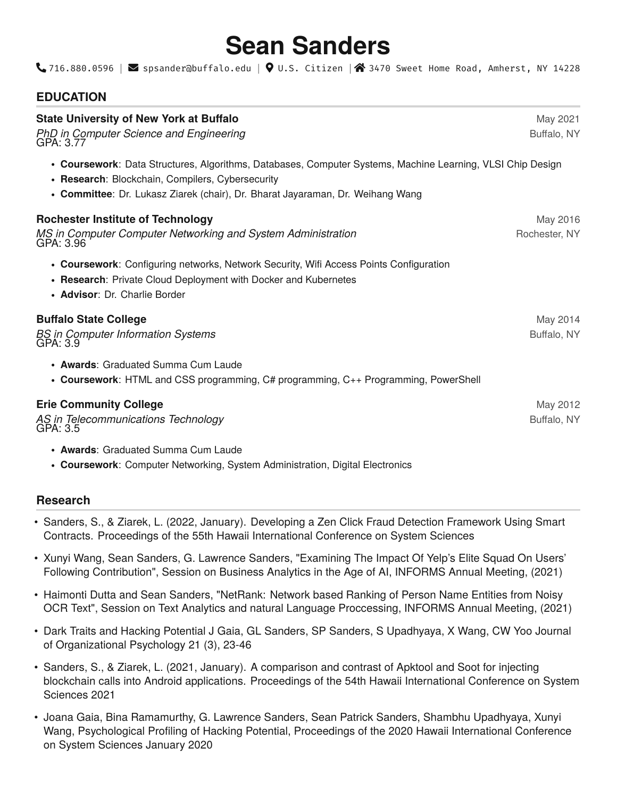# **Sean Sanders**

 $\bigcup$ 716.880.0596 |  $\bigotimes$  spsander@buffalo.edu |  $\bigcirc$  U.S. Citizen | $\bigcirc$  3470 Sweet Home Road, Amherst, NY 14228

# **EDUCATION**

| <b>State University of New York at Buffalo</b><br><b>PhD in Computer Science and Engineering</b><br>GPA: 3.77                                                                                                                                    | May 2021<br>Buffalo, NY   |
|--------------------------------------------------------------------------------------------------------------------------------------------------------------------------------------------------------------------------------------------------|---------------------------|
| • Coursework: Data Structures, Algorithms, Databases, Computer Systems, Machine Learning, VLSI Chip Design<br>• Research: Blockchain, Compilers, Cybersecurity<br>• Committee: Dr. Lukasz Ziarek (chair), Dr. Bharat Jayaraman, Dr. Weihang Wang |                           |
| <b>Rochester Institute of Technology</b><br>MS in Computer Computer Networking and System Administration<br>GPA: 3.96                                                                                                                            | May 2016<br>Rochester, NY |
| • Coursework: Configuring networks, Network Security, Wifi Access Points Configuration<br>• Research: Private Cloud Deployment with Docker and Kubernetes<br>• Advisor: Dr. Charlie Border                                                       |                           |
| <b>Buffalo State College</b><br><b>BS</b> in Computer Information Systems<br>GPA: 3.9                                                                                                                                                            | May 2014<br>Buffalo, NY   |
| • Awards: Graduated Summa Cum Laude<br>• Coursework: HTML and CSS programming, C# programming, C++ Programming, PowerShell                                                                                                                       |                           |
| <b>Erie Community College</b><br>AS in Telecommunications Technology<br>GPA: 3.5                                                                                                                                                                 | May 2012<br>Buffalo, NY   |
| • Awards: Graduated Summa Cum Laude                                                                                                                                                                                                              |                           |

• **Coursework**: Computer Networking, System Administration, Digital Electronics

# **Research**

- Sanders, S., & Ziarek, L. (2022, January). Developing a Zen Click Fraud Detection Framework Using Smart Contracts. Proceedings of the 55th Hawaii International Conference on System Sciences
- Xunyi Wang, Sean Sanders, G. Lawrence Sanders, "Examining The Impact Of Yelp's Elite Squad On Users' Following Contribution", Session on Business Analytics in the Age of AI, INFORMS Annual Meeting, (2021)
- Haimonti Dutta and Sean Sanders, "NetRank: Network based Ranking of Person Name Entities from Noisy OCR Text", Session on Text Analytics and natural Language Proccessing, INFORMS Annual Meeting, (2021)
- Dark Traits and Hacking Potential J Gaia, GL Sanders, SP Sanders, S Upadhyaya, X Wang, CW Yoo Journal of Organizational Psychology 21 (3), 23-46
- Sanders, S., & Ziarek, L. (2021, January). A comparison and contrast of Apktool and Soot for injecting blockchain calls into Android applications. Proceedings of the 54th Hawaii International Conference on System Sciences 2021
- Joana Gaia, Bina Ramamurthy, G. Lawrence Sanders, Sean Patrick Sanders, Shambhu Upadhyaya, Xunyi Wang, Psychological Profiling of Hacking Potential, Proceedings of the 2020 Hawaii International Conference on System Sciences January 2020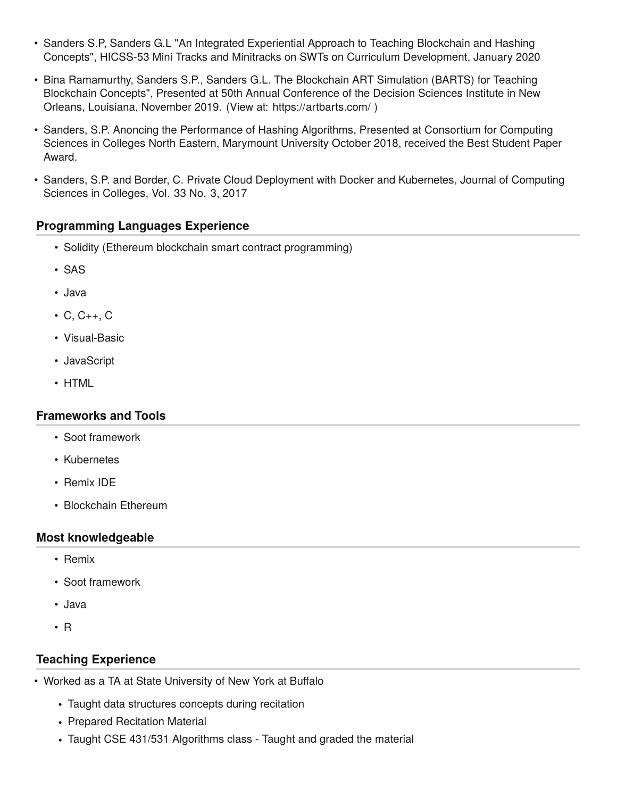- Sanders S.P, Sanders G.L "An Integrated Experiential Approach to Teaching Blockchain and Hashing Concepts", HICSS-53 Mini Tracks and Minitracks on SWTs on Curriculum Development, January 2020
- Bina Ramamurthy, Sanders S.P., Sanders G.L. The Blockchain ART Simulation (BARTS) for Teaching Blockchain Concepts", Presented at 50th Annual Conference of the Decision Sciences Institute in New Orleans, Louisiana, November 2019. (View at:<https://artbarts.com/> )
- Sanders, S.P. Anoncing the Performance of Hashing Algorithms, Presented at Consortium for Computing Sciences in Colleges North Eastern, Marymount University October 2018, received the Best Student Paper Award.
- Sanders, S.P. and Border, C. Private Cloud Deployment with Docker and Kubernetes, Journal of Computing Sciences in Colleges, Vol. 33 No. 3, 2017

### **Programming Languages Experience**

- Solidity (Ethereum blockchain smart contract programming)
- SAS
- Java
- C, C++, C
- Visual-Basic
- JavaScript
- HTML

#### **Frameworks and Tools**

- Soot framework
- Kubernetes
- Remix IDE
- Blockchain Ethereum

#### **Most knowledgeable**

- Remix
- Soot framework
- Java
- R

#### **Teaching Experience**

- Worked as a TA at State University of New York at Buffalo
	- Taught data structures concepts during recitation
	- Prepared Recitation Material
	- Taught CSE 431/531 Algorithms class Taught and graded the material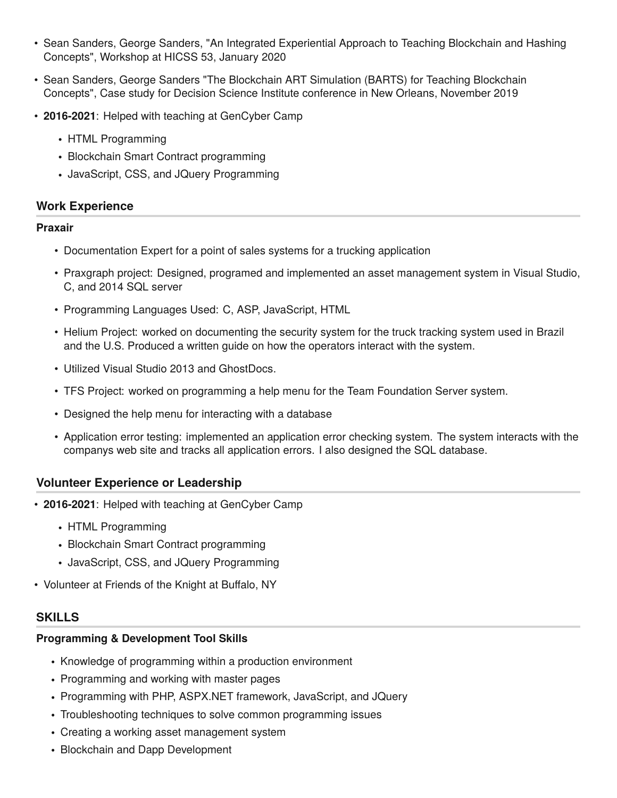- Sean Sanders, George Sanders, "An Integrated Experiential Approach to Teaching Blockchain and Hashing Concepts", Workshop at HICSS 53, January 2020
- Sean Sanders, George Sanders "The Blockchain ART Simulation (BARTS) for Teaching Blockchain Concepts", Case study for Decision Science Institute conference in New Orleans, November 2019
- **2016-2021**: Helped with teaching at GenCyber Camp
	- HTML Programming
	- Blockchain Smart Contract programming
	- JavaScript, CSS, and JQuery Programming

## **Work Experience**

#### **Praxair**

- Documentation Expert for a point of sales systems for a trucking application
- Praxgraph project: Designed, programed and implemented an asset management system in Visual Studio, C, and 2014 SQL server
- Programming Languages Used: C, ASP, JavaScript, HTML
- Helium Project: worked on documenting the security system for the truck tracking system used in Brazil and the U.S. Produced a written guide on how the operators interact with the system.
- Utilized Visual Studio 2013 and GhostDocs.
- TFS Project: worked on programming a help menu for the Team Foundation Server system.
- Designed the help menu for interacting with a database
- Application error testing: implemented an application error checking system. The system interacts with the companys web site and tracks all application errors. I also designed the SQL database.

# **Volunteer Experience or Leadership**

- **2016-2021**: Helped with teaching at GenCyber Camp
	- HTML Programming
	- Blockchain Smart Contract programming
	- JavaScript, CSS, and JQuery Programming
- Volunteer at Friends of the Knight at Buffalo, NY

# **SKILLS**

## **Programming & Development Tool Skills**

- Knowledge of programming within a production environment
- Programming and working with master pages
- Programming with PHP, ASPX.NET framework, JavaScript, and JQuery
- Troubleshooting techniques to solve common programming issues
- Creating a working asset management system
- Blockchain and Dapp Development